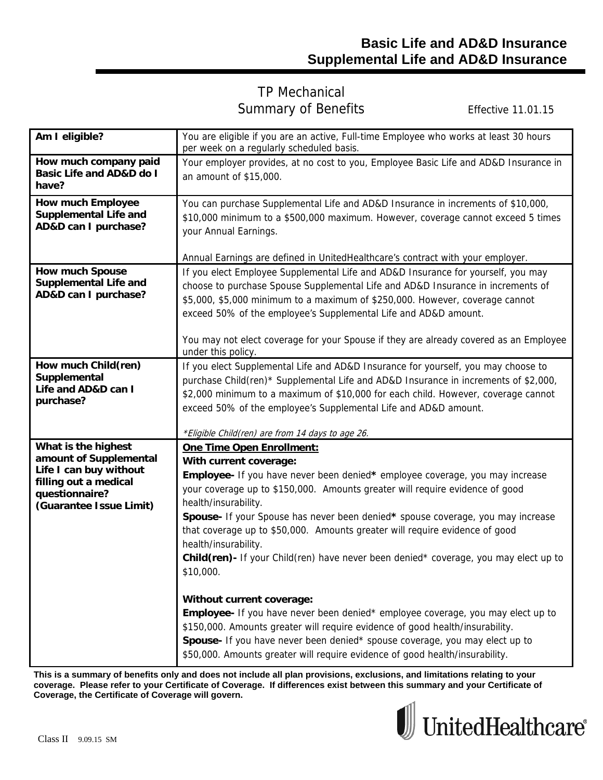## TP Mechanical Summary of Benefits Effective 11.01.15

| Am I eligible?                                                                                                                                | You are eligible if you are an active, Full-time Employee who works at least 30 hours<br>per week on a regularly scheduled basis.                                                                                                                                                                                                                                                                                                                                                                                                                                                                                                                                                                                                                                                                                                                                                                          |  |  |
|-----------------------------------------------------------------------------------------------------------------------------------------------|------------------------------------------------------------------------------------------------------------------------------------------------------------------------------------------------------------------------------------------------------------------------------------------------------------------------------------------------------------------------------------------------------------------------------------------------------------------------------------------------------------------------------------------------------------------------------------------------------------------------------------------------------------------------------------------------------------------------------------------------------------------------------------------------------------------------------------------------------------------------------------------------------------|--|--|
| How much company paid<br><b>Basic Life and AD&amp;D do I</b><br>have?                                                                         | Your employer provides, at no cost to you, Employee Basic Life and AD&D Insurance in<br>an amount of \$15,000.                                                                                                                                                                                                                                                                                                                                                                                                                                                                                                                                                                                                                                                                                                                                                                                             |  |  |
| <b>How much Employee</b><br><b>Supplemental Life and</b><br>AD&D can I purchase?                                                              | You can purchase Supplemental Life and AD&D Insurance in increments of \$10,000,<br>\$10,000 minimum to a \$500,000 maximum. However, coverage cannot exceed 5 times<br>your Annual Earnings.                                                                                                                                                                                                                                                                                                                                                                                                                                                                                                                                                                                                                                                                                                              |  |  |
| <b>How much Spouse</b><br><b>Supplemental Life and</b><br>AD&D can I purchase?                                                                | Annual Earnings are defined in UnitedHealthcare's contract with your employer.<br>If you elect Employee Supplemental Life and AD&D Insurance for yourself, you may<br>choose to purchase Spouse Supplemental Life and AD&D Insurance in increments of<br>\$5,000, \$5,000 minimum to a maximum of \$250,000. However, coverage cannot<br>exceed 50% of the employee's Supplemental Life and AD&D amount.<br>You may not elect coverage for your Spouse if they are already covered as an Employee<br>under this policy.                                                                                                                                                                                                                                                                                                                                                                                    |  |  |
| How much Child(ren)<br>Supplemental<br>Life and AD&D can I<br>purchase?                                                                       | If you elect Supplemental Life and AD&D Insurance for yourself, you may choose to<br>purchase Child(ren)* Supplemental Life and AD&D Insurance in increments of \$2,000,<br>\$2,000 minimum to a maximum of \$10,000 for each child. However, coverage cannot<br>exceed 50% of the employee's Supplemental Life and AD&D amount.<br>*Eligible Child(ren) are from 14 days to age 26.                                                                                                                                                                                                                                                                                                                                                                                                                                                                                                                       |  |  |
| What is the highest<br>amount of Supplemental<br>Life I can buy without<br>filling out a medical<br>questionnaire?<br>(Guarantee Issue Limit) | One Time Open Enrollment:<br>With current coverage:<br>Employee- If you have never been denied* employee coverage, you may increase<br>your coverage up to \$150,000. Amounts greater will require evidence of good<br>health/insurability.<br>Spouse- If your Spouse has never been denied* spouse coverage, you may increase<br>that coverage up to \$50,000. Amounts greater will require evidence of good<br>health/insurability.<br>Child(ren)- If your Child(ren) have never been denied* coverage, you may elect up to<br>\$10,000.<br>Without current coverage:<br>Employee- If you have never been denied* employee coverage, you may elect up to<br>\$150,000. Amounts greater will require evidence of good health/insurability.<br>Spouse- If you have never been denied* spouse coverage, you may elect up to<br>\$50,000. Amounts greater will require evidence of good health/insurability. |  |  |

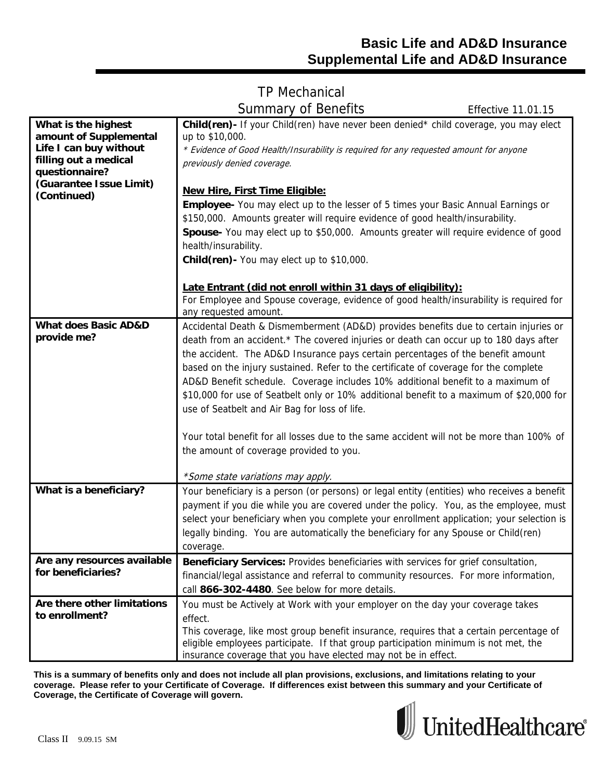# TP Mechanical Summary of Benefits Effective 11.01.15

| What is the highest<br>amount of Supplemental<br>Life I can buy without<br>filling out a medical<br>questionnaire?<br>(Guarantee Issue Limit)<br>(Continued) | <b>Child(ren)</b> If your Child(ren) have never been denied* child coverage, you may elect<br>up to \$10,000.<br>* Evidence of Good Health/Insurability is required for any requested amount for anyone<br>previously denied coverage.<br><b>New Hire, First Time Eligible:</b><br><b>Employee-</b> You may elect up to the lesser of 5 times your Basic Annual Earnings or<br>\$150,000. Amounts greater will require evidence of good health/insurability.<br>Spouse- You may elect up to \$50,000. Amounts greater will require evidence of good<br>health/insurability. |
|--------------------------------------------------------------------------------------------------------------------------------------------------------------|-----------------------------------------------------------------------------------------------------------------------------------------------------------------------------------------------------------------------------------------------------------------------------------------------------------------------------------------------------------------------------------------------------------------------------------------------------------------------------------------------------------------------------------------------------------------------------|
|                                                                                                                                                              | Child(ren) - You may elect up to \$10,000.<br>Late Entrant (did not enroll within 31 days of eligibility):<br>For Employee and Spouse coverage, evidence of good health/insurability is required for                                                                                                                                                                                                                                                                                                                                                                        |
| <b>What does Basic AD&amp;D</b><br>provide me?                                                                                                               | any requested amount.<br>Accidental Death & Dismemberment (AD&D) provides benefits due to certain injuries or<br>death from an accident.* The covered injuries or death can occur up to 180 days after<br>the accident. The AD&D Insurance pays certain percentages of the benefit amount<br>based on the injury sustained. Refer to the certificate of coverage for the complete<br>AD&D Benefit schedule. Coverage includes 10% additional benefit to a maximum of                                                                                                        |
|                                                                                                                                                              | \$10,000 for use of Seatbelt only or 10% additional benefit to a maximum of \$20,000 for<br>use of Seatbelt and Air Bag for loss of life.<br>Your total benefit for all losses due to the same accident will not be more than 100% of<br>the amount of coverage provided to you.                                                                                                                                                                                                                                                                                            |
|                                                                                                                                                              | *Some state variations may apply.                                                                                                                                                                                                                                                                                                                                                                                                                                                                                                                                           |
| What is a beneficiary?                                                                                                                                       | Your beneficiary is a person (or persons) or legal entity (entities) who receives a benefit<br>payment if you die while you are covered under the policy. You, as the employee, must<br>select your beneficiary when you complete your enrollment application; your selection is<br>legally binding. You are automatically the beneficiary for any Spouse or Child(ren)<br>coverage.                                                                                                                                                                                        |
| Are any resources available<br>for beneficiaries?                                                                                                            | Beneficiary Services: Provides beneficiaries with services for grief consultation,<br>financial/legal assistance and referral to community resources. For more information,<br>call 866-302-4480. See below for more details.                                                                                                                                                                                                                                                                                                                                               |
| Are there other limitations<br>to enrollment?                                                                                                                | You must be Actively at Work with your employer on the day your coverage takes<br>effect.<br>This coverage, like most group benefit insurance, requires that a certain percentage of<br>eligible employees participate. If that group participation minimum is not met, the                                                                                                                                                                                                                                                                                                 |

**This is a summary of benefits only and does not include all plan provisions, exclusions, and limitations relating to your coverage. Please refer to your Certificate of Coverage. If differences exist between this summary and your Certificate of Coverage, the Certificate of Coverage will govern.** 

insurance coverage that you have elected may not be in effect.

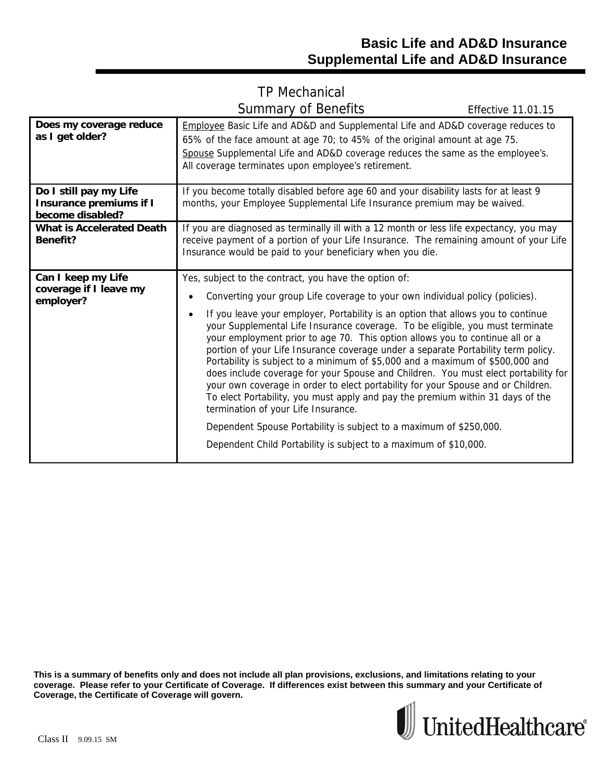## TP Mechanical Summary of Benefits Effective 11.01.15

| Does my coverage reduce<br>as I get older?                                   | Employee Basic Life and AD&D and Supplemental Life and AD&D coverage reduces to<br>65% of the face amount at age 70; to 45% of the original amount at age 75.<br>Spouse Supplemental Life and AD&D coverage reduces the same as the employee's.<br>All coverage terminates upon employee's retirement.                                                                                                                                                                                                                                                                                                                                                                                                                                                                                                                                                                                                                                                                                                         |
|------------------------------------------------------------------------------|----------------------------------------------------------------------------------------------------------------------------------------------------------------------------------------------------------------------------------------------------------------------------------------------------------------------------------------------------------------------------------------------------------------------------------------------------------------------------------------------------------------------------------------------------------------------------------------------------------------------------------------------------------------------------------------------------------------------------------------------------------------------------------------------------------------------------------------------------------------------------------------------------------------------------------------------------------------------------------------------------------------|
| Do I still pay my Life<br><b>Insurance premiums if I</b><br>become disabled? | If you become totally disabled before age 60 and your disability lasts for at least 9<br>months, your Employee Supplemental Life Insurance premium may be waived.                                                                                                                                                                                                                                                                                                                                                                                                                                                                                                                                                                                                                                                                                                                                                                                                                                              |
| <b>What is Accelerated Death</b><br>Benefit?                                 | If you are diagnosed as terminally ill with a 12 month or less life expectancy, you may<br>receive payment of a portion of your Life Insurance. The remaining amount of your Life<br>Insurance would be paid to your beneficiary when you die.                                                                                                                                                                                                                                                                                                                                                                                                                                                                                                                                                                                                                                                                                                                                                                 |
| Can I keep my Life<br>coverage if I leave my<br>employer?                    | Yes, subject to the contract, you have the option of:<br>Converting your group Life coverage to your own individual policy (policies).<br>If you leave your employer, Portability is an option that allows you to continue<br>your Supplemental Life Insurance coverage. To be eligible, you must terminate<br>your employment prior to age 70. This option allows you to continue all or a<br>portion of your Life Insurance coverage under a separate Portability term policy.<br>Portability is subject to a minimum of \$5,000 and a maximum of \$500,000 and<br>does include coverage for your Spouse and Children. You must elect portability for<br>your own coverage in order to elect portability for your Spouse and or Children.<br>To elect Portability, you must apply and pay the premium within 31 days of the<br>termination of your Life Insurance.<br>Dependent Spouse Portability is subject to a maximum of \$250,000.<br>Dependent Child Portability is subject to a maximum of \$10,000. |

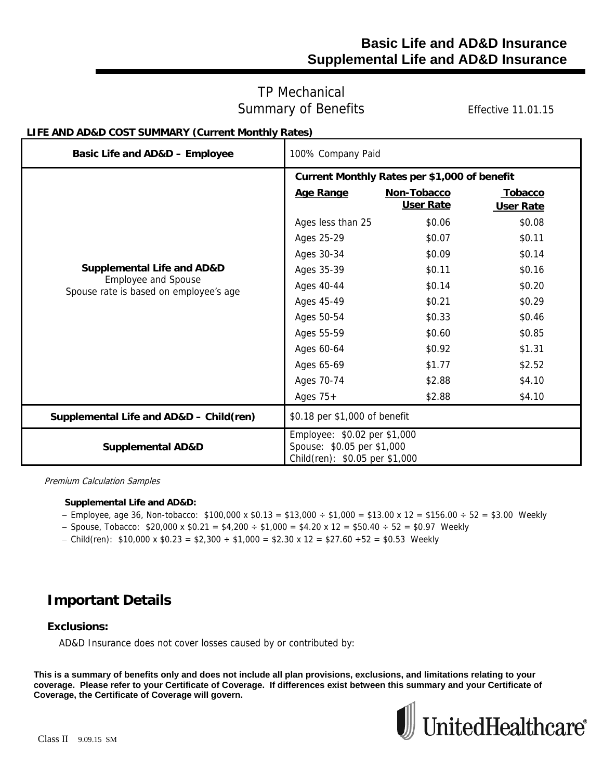### **Basic Life and AD&D Insurance Supplemental Life and AD&D Insurance**

### TP Mechanical Summary of Benefits Effective 11.01.15

### **LIFE AND AD&D COST SUMMARY (Current Monthly Rates)**

| Basic Life and AD&D - Employee                                       | 100% Company Paid                                                                            |                  |                |
|----------------------------------------------------------------------|----------------------------------------------------------------------------------------------|------------------|----------------|
|                                                                      | Current Monthly Rates per \$1,000 of benefit                                                 |                  |                |
|                                                                      | Age Range                                                                                    | Non-Tobacco      | <b>Tobacco</b> |
|                                                                      |                                                                                              | <b>User Rate</b> | User Rate      |
|                                                                      | Ages less than 25                                                                            | \$0.06           | \$0.08         |
|                                                                      | Ages 25-29                                                                                   | \$0.07           | \$0.11         |
|                                                                      | Ages 30-34                                                                                   | \$0.09           | \$0.14         |
| <b>Supplemental Life and AD&amp;D</b>                                | Ages 35-39                                                                                   | \$0.11           | \$0.16         |
| <b>Employee and Spouse</b><br>Spouse rate is based on employee's age | Ages 40-44                                                                                   | \$0.14           | \$0.20         |
|                                                                      | Ages 45-49                                                                                   | \$0.21           | \$0.29         |
|                                                                      | Ages 50-54                                                                                   | \$0.33           | \$0.46         |
|                                                                      | Ages 55-59                                                                                   | \$0.60           | \$0.85         |
|                                                                      | Ages 60-64                                                                                   | \$0.92           | \$1.31         |
|                                                                      | Ages 65-69                                                                                   | \$1.77           | \$2.52         |
|                                                                      | Ages 70-74                                                                                   | \$2.88           | \$4.10         |
|                                                                      | Ages $75+$                                                                                   | \$2.88           | \$4.10         |
| Supplemental Life and AD&D - Child(ren)                              | \$0.18 per \$1,000 of benefit                                                                |                  |                |
| <b>Supplemental AD&amp;D</b>                                         | Employee: \$0.02 per \$1,000<br>Spouse: \$0.05 per \$1,000<br>Child(ren): \$0.05 per \$1,000 |                  |                |

Premium Calculation Samples

#### **Supplemental Life and AD&D:**

- $-$  Employee, age 36, Non-tobacco: \$100,000 x \$0.13 = \$13,000 ÷ \$1,000 = \$13.00 x 12 = \$156.00 ÷ 52 = \$3.00 Weekly
- $-$  Spouse, Tobacco: \$20,000 x \$0.21 = \$4,200  $\div$  \$1,000 = \$4.20 x 12 = \$50.40  $\div$  52 = \$0.97 Weekly
- Child(ren):  $$10,000 \times $0.23 = $2,300 \div $1,000 = $2.30 \times 12 = $27.60 \div 52 = $0.53$  Weekly

## **Important Details**

#### **Exclusions:**

AD&D Insurance does not cover losses caused by or contributed by: